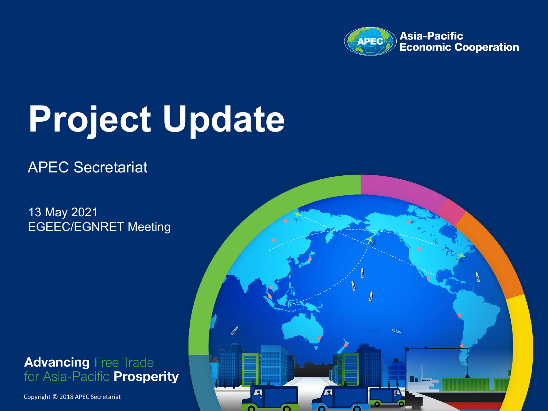

# **Project Update**

#### APEC Secretariat

13 May 2021 EGEEC/EGNRET Meeting

**Advancing Free Trade** for Asia-Pacific **Prosperity** 

Copyright © 2017 APEC Secretariat Copyright © 2018 APEC Secretariat

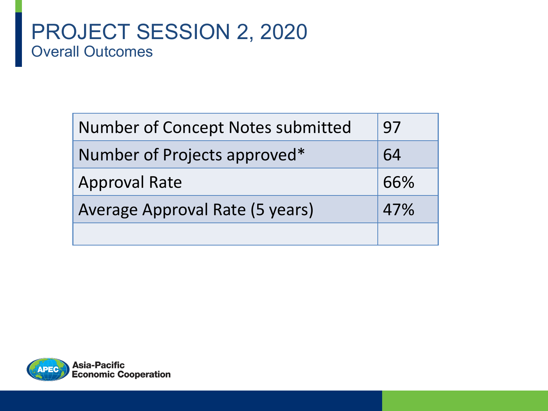# **Proverall Outcomes** PROJECT SESSION 2, 2020

| <b>Number of Concept Notes submitted</b> | 97  |
|------------------------------------------|-----|
| Number of Projects approved*             | 64  |
| <b>Approval Rate</b>                     | 66% |
| Average Approval Rate (5 years)          | 47% |
|                                          |     |

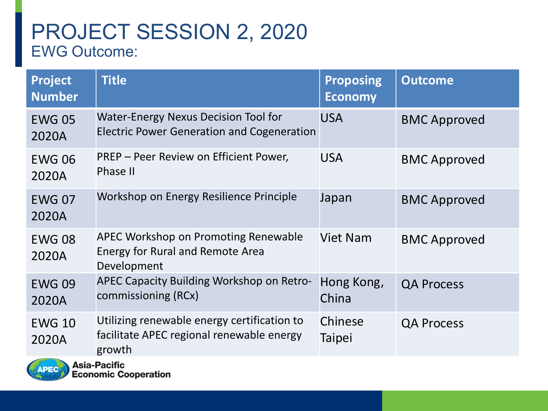# **PRODUCT SERVICE OUTCOME:** PROJECT SESSION 2, 2020

| Project<br><b>Number</b> | <b>Title</b>                                                                                          | <b>Proposing</b><br><b>Economy</b> | <b>Outcome</b>      |
|--------------------------|-------------------------------------------------------------------------------------------------------|------------------------------------|---------------------|
| <b>EWG 05</b><br>2020A   | <b>Water-Energy Nexus Decision Tool for</b><br><b>Electric Power Generation and Cogeneration</b>      | <b>USA</b>                         | <b>BMC Approved</b> |
| <b>EWG 06</b><br>2020A   | PREP - Peer Review on Efficient Power,<br>Phase II                                                    | <b>USA</b>                         | <b>BMC Approved</b> |
| <b>EWG 07</b><br>2020A   | Workshop on Energy Resilience Principle                                                               | Japan                              | <b>BMC Approved</b> |
| <b>EWG 08</b><br>2020A   | <b>APEC Workshop on Promoting Renewable</b><br><b>Energy for Rural and Remote Area</b><br>Development | <b>Viet Nam</b>                    | <b>BMC Approved</b> |
| <b>EWG 09</b><br>2020A   | <b>APEC Capacity Building Workshop on Retro-</b><br>commissioning (RCx)                               | Hong Kong,<br>China                | <b>QA Process</b>   |
| <b>EWG 10</b><br>2020A   | Utilizing renewable energy certification to<br>facilitate APEC regional renewable energy<br>growth    | Chinese<br><b>Taipei</b>           | <b>QA Process</b>   |

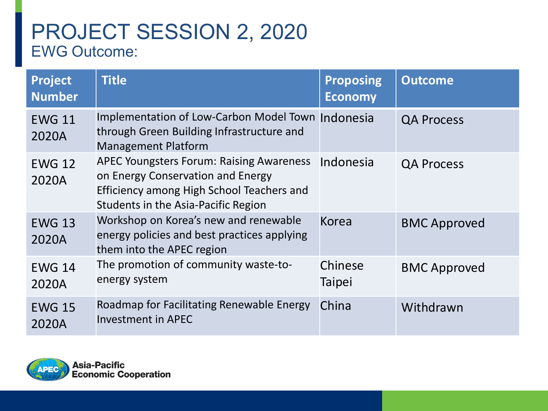# **PRODUCT SERVICE OUTCOME:** PROJECT SESSION 2, 2020

| <b>Project</b><br><b>Number</b> | <b>Title</b>                                                                                                                                                             | <b>Proposing</b><br><b>Economy</b> | <b>Outcome</b>      |
|---------------------------------|--------------------------------------------------------------------------------------------------------------------------------------------------------------------------|------------------------------------|---------------------|
| <b>EWG 11</b><br>2020A          | Implementation of Low-Carbon Model Town Indonesia<br>through Green Building Infrastructure and<br><b>Management Platform</b>                                             |                                    | <b>QA Process</b>   |
| <b>EWG 12</b><br>2020A          | <b>APEC Youngsters Forum: Raising Awareness</b><br>on Energy Conservation and Energy<br>Efficiency among High School Teachers and<br>Students in the Asia-Pacific Region | Indonesia                          | <b>QA Process</b>   |
| <b>EWG 13</b><br>2020A          | Workshop on Korea's new and renewable<br>energy policies and best practices applying<br>them into the APEC region                                                        | <b>Korea</b>                       | <b>BMC Approved</b> |
| <b>EWG 14</b><br>2020A          | The promotion of community waste-to-<br>energy system                                                                                                                    | Chinese<br><b>Taipei</b>           | <b>BMC Approved</b> |
| <b>EWG 15</b><br>2020A          | Roadmap for Facilitating Renewable Energy<br><b>Investment in APEC</b>                                                                                                   | China                              | Withdrawn           |

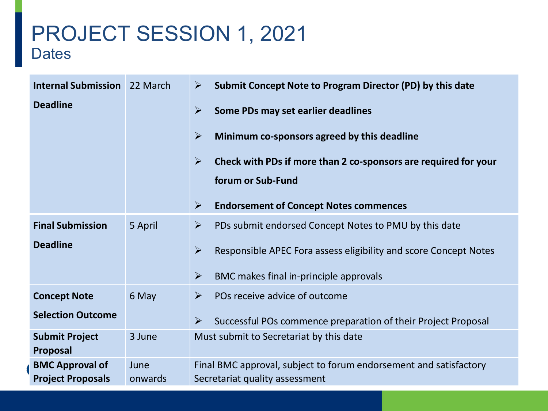## PROJECT SESSION 1, 2021 **Dates**

| <b>Internal Submission</b> 22 March |         | Submit Concept Note to Program Director (PD) by this date<br>$\blacktriangleright$        |
|-------------------------------------|---------|-------------------------------------------------------------------------------------------|
| <b>Deadline</b>                     |         | $\blacktriangleright$<br>Some PDs may set earlier deadlines                               |
|                                     |         | $\blacktriangleright$<br>Minimum co-sponsors agreed by this deadline                      |
|                                     |         | $\blacktriangleright$<br>Check with PDs if more than 2 co-sponsors are required for your  |
|                                     |         | forum or Sub-Fund                                                                         |
|                                     |         | $\blacktriangleright$<br><b>Endorsement of Concept Notes commences</b>                    |
| <b>Final Submission</b>             | 5 April | $\blacktriangleright$<br>PDs submit endorsed Concept Notes to PMU by this date            |
| <b>Deadline</b>                     |         | $\blacktriangleright$<br>Responsible APEC Fora assess eligibility and score Concept Notes |
|                                     |         | $\blacktriangleright$<br>BMC makes final in-principle approvals                           |
| <b>Concept Note</b>                 | 6 May   | POs receive advice of outcome<br>$\blacktriangleright$                                    |
| <b>Selection Outcome</b>            |         | $\blacktriangleright$<br>Successful POs commence preparation of their Project Proposal    |
| <b>Submit Project</b><br>Proposal   | 3 June  | Must submit to Secretariat by this date                                                   |
| <b>BMC Approval of</b>              | June    | Final BMC approval, subject to forum endorsement and satisfactory                         |
| <b>Project Proposals</b>            | onwards | Secretariat quality assessment                                                            |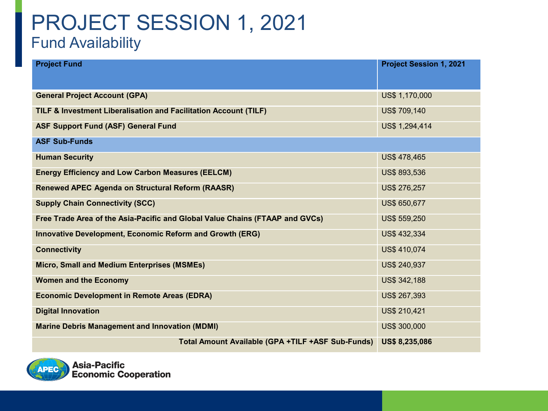## PROJECT SESSION 1, 2021 Fund Availability

| <b>Project Fund</b>                                                          | <b>Project Session 1, 2021</b> |
|------------------------------------------------------------------------------|--------------------------------|
|                                                                              |                                |
| <b>General Project Account (GPA)</b>                                         | US\$ 1,170,000                 |
| TILF & Investment Liberalisation and Facilitation Account (TILF)             | US\$ 709,140                   |
| <b>ASF Support Fund (ASF) General Fund</b>                                   | US\$ 1,294,414                 |
| <b>ASF Sub-Funds</b>                                                         |                                |
| <b>Human Security</b>                                                        | US\$ 478,465                   |
| <b>Energy Efficiency and Low Carbon Measures (EELCM)</b>                     | US\$ 893,536                   |
| <b>Renewed APEC Agenda on Structural Reform (RAASR)</b>                      | US\$ 276,257                   |
| <b>Supply Chain Connectivity (SCC)</b>                                       | US\$ 650,677                   |
| Free Trade Area of the Asia-Pacific and Global Value Chains (FTAAP and GVCs) | US\$ 559,250                   |
| <b>Innovative Development, Economic Reform and Growth (ERG)</b>              | US\$ 432,334                   |
| <b>Connectivity</b>                                                          | <b>US\$ 410,074</b>            |
| <b>Micro, Small and Medium Enterprises (MSMEs)</b>                           | US\$ 240,937                   |
| <b>Women and the Economy</b>                                                 | US\$ 342,188                   |
| <b>Economic Development in Remote Areas (EDRA)</b>                           | US\$ 267,393                   |
| <b>Digital Innovation</b>                                                    | US\$ 210,421                   |
| <b>Marine Debris Management and Innovation (MDMI)</b>                        | US\$ 300,000                   |
| Total Amount Available (GPA +TILF +ASF Sub-Funds)                            | <b>US\$ 8,235,086</b>          |

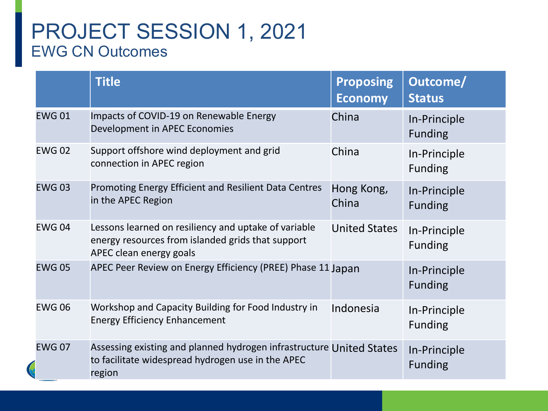## PROJECT SESSION 1, 2021 EWG CN Outcomes

|               | <b>Title</b>                                                                                                                         | <b>Proposing</b><br><b>Economy</b> | Outcome/<br><b>Status</b>      |
|---------------|--------------------------------------------------------------------------------------------------------------------------------------|------------------------------------|--------------------------------|
| <b>EWG01</b>  | Impacts of COVID-19 on Renewable Energy<br>Development in APEC Economies                                                             | China                              | In-Principle<br><b>Funding</b> |
| <b>EWG02</b>  | Support offshore wind deployment and grid<br>connection in APEC region                                                               | China                              | In-Principle<br><b>Funding</b> |
| <b>EWG03</b>  | Promoting Energy Efficient and Resilient Data Centres<br>in the APEC Region                                                          | Hong Kong,<br>China                | In-Principle<br><b>Funding</b> |
| <b>EWG 04</b> | Lessons learned on resiliency and uptake of variable<br>energy resources from islanded grids that support<br>APEC clean energy goals | <b>United States</b>               | In-Principle<br><b>Funding</b> |
| <b>EWG 05</b> | APEC Peer Review on Energy Efficiency (PREE) Phase 11 Japan                                                                          |                                    | In-Principle<br><b>Funding</b> |
| <b>EWG06</b>  | Workshop and Capacity Building for Food Industry in<br><b>Energy Efficiency Enhancement</b>                                          | Indonesia                          | In-Principle<br><b>Funding</b> |
| <b>EWG 07</b> | Assessing existing and planned hydrogen infrastructure United States<br>to facilitate widespread hydrogen use in the APEC<br>region  |                                    | In-Principle<br><b>Funding</b> |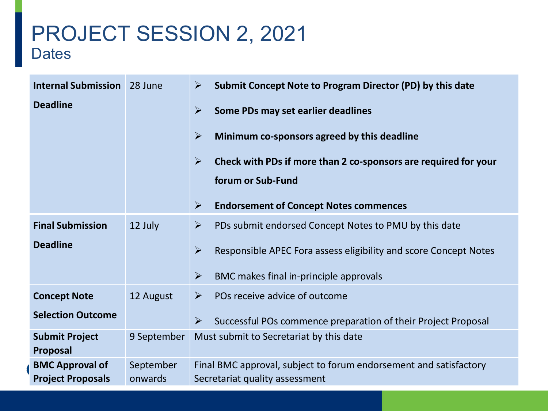## PROJECT SESSION 2, 2021 **Dates**

| <b>Internal Submission</b>                         | 28 June              | Submit Concept Note to Program Director (PD) by this date<br>$\blacktriangleright$                  |
|----------------------------------------------------|----------------------|-----------------------------------------------------------------------------------------------------|
| <b>Deadline</b>                                    |                      | $\blacktriangleright$<br>Some PDs may set earlier deadlines                                         |
|                                                    |                      | $\blacktriangleright$<br>Minimum co-sponsors agreed by this deadline                                |
|                                                    |                      | $\blacktriangleright$<br>Check with PDs if more than 2 co-sponsors are required for your            |
|                                                    |                      | forum or Sub-Fund                                                                                   |
|                                                    |                      | $\blacktriangleright$<br><b>Endorsement of Concept Notes commences</b>                              |
| <b>Final Submission</b>                            | 12 July              | $\blacktriangleright$<br>PDs submit endorsed Concept Notes to PMU by this date                      |
| <b>Deadline</b>                                    |                      | $\blacktriangleright$<br>Responsible APEC Fora assess eligibility and score Concept Notes           |
|                                                    |                      | $\blacktriangleright$<br>BMC makes final in-principle approvals                                     |
| <b>Concept Note</b>                                | 12 August            | POs receive advice of outcome<br>$\blacktriangleright$                                              |
| <b>Selection Outcome</b>                           |                      | $\blacktriangleright$<br>Successful POs commence preparation of their Project Proposal              |
| <b>Submit Project</b><br>Proposal                  | 9 September          | Must submit to Secretariat by this date                                                             |
| <b>BMC Approval of</b><br><b>Project Proposals</b> | September<br>onwards | Final BMC approval, subject to forum endorsement and satisfactory<br>Secretariat quality assessment |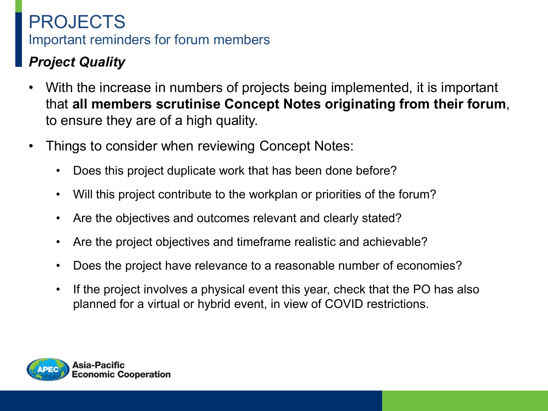#### *Project Quality*

- With the increase in numbers of projects being implemented, it is important that **all members scrutinise Concept Notes originating from their forum**, to ensure they are of a high quality.
- Things to consider when reviewing Concept Notes:
	- Does this project duplicate work that has been done before?
	- Will this project contribute to the workplan or priorities of the forum?
	- Are the objectives and outcomes relevant and clearly stated?
	- Are the project objectives and timeframe realistic and achievable?
	- Does the project have relevance to a reasonable number of economies?
	- If the project involves a physical event this year, check that the PO has also planned for a virtual or hybrid event, in view of COVID restrictions.

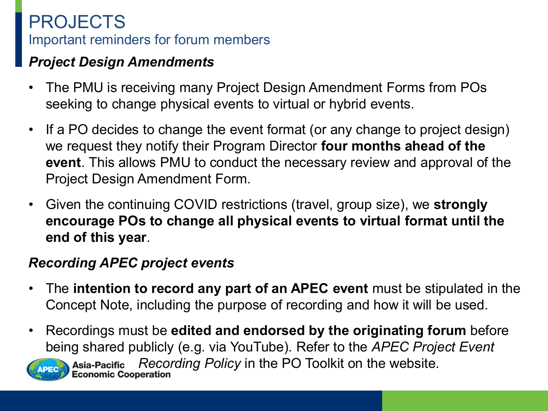#### *Project Design Amendments*

- The PMU is receiving many Project Design Amendment Forms from POs seeking to change physical events to virtual or hybrid events.
- If a PO decides to change the event format (or any change to project design) we request they notify their Program Director **four months ahead of the event**. This allows PMU to conduct the necessary review and approval of the Project Design Amendment Form.
- Given the continuing COVID restrictions (travel, group size), we **strongly encourage POs to change all physical events to virtual format until the end of this year**.

#### *Recording APEC project events*

- The **intention to record any part of an APEC event** must be stipulated in the Concept Note, including the purpose of recording and how it will be used.
- Recordings must be **edited and endorsed by the originating forum** before being shared publicly (e.g. via YouTube). Refer to the *APEC Project Event*

*Recording Policy* in the PO Toolkit on the website.**Asia-Pacific**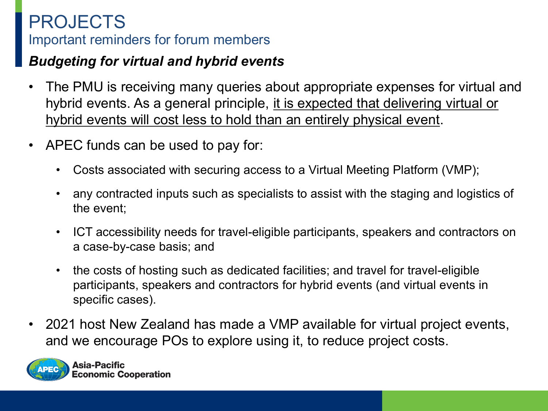#### *Budgeting for virtual and hybrid events*

- The PMU is receiving many queries about appropriate expenses for virtual and hybrid events. As a general principle, it is expected that delivering virtual or hybrid events will cost less to hold than an entirely physical event.
- APEC funds can be used to pay for:
	- Costs associated with securing access to a Virtual Meeting Platform (VMP);
	- any contracted inputs such as specialists to assist with the staging and logistics of the event;
	- ICT accessibility needs for travel-eligible participants, speakers and contractors on a case-by-case basis; and
	- the costs of hosting such as dedicated facilities; and travel for travel-eligible participants, speakers and contractors for hybrid events (and virtual events in specific cases).
- 2021 host New Zealand has made a VMP available for virtual project events, and we encourage POs to explore using it, to reduce project costs.



**Asia-Pacific Economic Cooperation**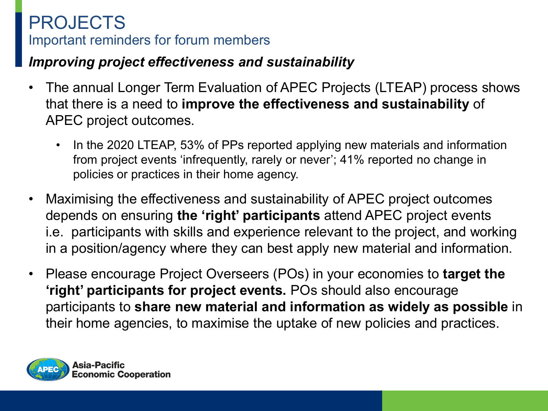#### *Improving project effectiveness and sustainability*

- The annual Longer Term Evaluation of APEC Projects (LTEAP) process shows that there is a need to **improve the effectiveness and sustainability** of APEC project outcomes.
	- In the 2020 LTEAP, 53% of PPs reported applying new materials and information from project events 'infrequently, rarely or never'; 41% reported no change in policies or practices in their home agency.
- Maximising the effectiveness and sustainability of APEC project outcomes depends on ensuring **the 'right' participants** attend APEC project events i.e. participants with skills and experience relevant to the project, and working in a position/agency where they can best apply new material and information.
- Please encourage Project Overseers (POs) in your economies to **target the 'right' participants for project events.** POs should also encourage participants to **share new material and information as widely as possible** in their home agencies, to maximise the uptake of new policies and practices.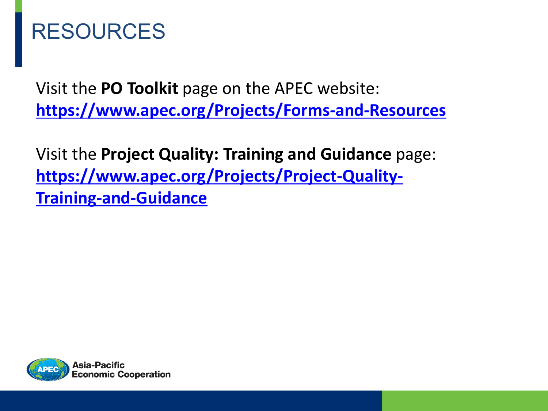# RESOURCES

Visit the **PO Toolkit** page on the APEC website: **<https://www.apec.org/Projects/Forms-and-Resources>**

Visit the **Project Quality: Training and Guidance** page: **[https://www.apec.org/Projects/Project-Quality-](https://www.apec.org/Projects/Project-Quality-Training-and-Guidance)Training-and-Guidance**